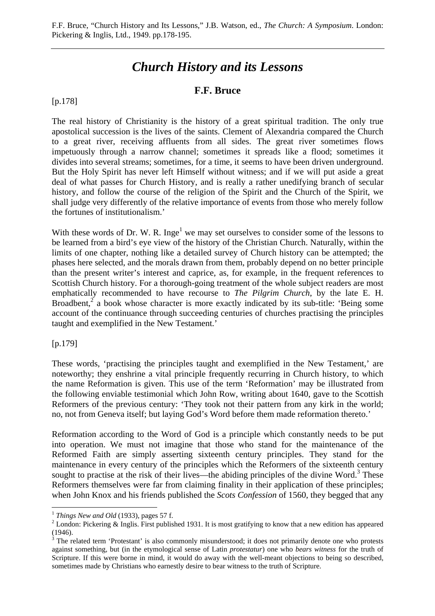# *Church History and its Lessons*

## **F.F. Bruce**

#### [p.178]

The real history of Christianity is the history of a great spiritual tradition. The only true apostolical succession is the lives of the saints. Clement of Alexandria compared the Church to a great river, receiving affluents from all sides. The great river sometimes flows impetuously through a narrow channel; sometimes it spreads like a flood; sometimes it divides into several streams; sometimes, for a time, it seems to have been driven underground. But the Holy Spirit has never left Himself without witness; and if we will put aside a great deal of what passes for Church History, and is really a rather unedifying branch of secular history, and follow the course of the religion of the Spirit and the Church of the Spirit, we shall judge very differently of the relative importance of events from those who merely follow the fortunes of institutionalism.'

With these words of Dr. W. R. Inge<sup>1</sup> we may set ourselves to consider some of the lessons to be learned from a bird's eye view of the history of the Christian Church. Naturally, within the limits of one chapter, nothing like a detailed survey of Church history can be attempted; the phases here selected, and the morals drawn from them, probably depend on no better principle than the present writer's interest and caprice, as, for example, in the frequent references to Scottish Church history. For a thorough-going treatment of the whole subject readers are most emphatically recommended to have recourse to *The Pilgrim Church*, by the late E. H. Broadbent,<sup>2</sup> a book whose character is more exactly indicated by its sub-title: 'Being some account of the continuance through succeeding centuries of churches practising the principles taught and exemplified in the New Testament.'

[p.179]

 $\overline{a}$ 

These words, 'practising the principles taught and exemplified in the New Testament,' are noteworthy; they enshrine a vital principle frequently recurring in Church history, to which the name Reformation is given. This use of the term 'Reformation' may be illustrated from the following enviable testimonial which John Row, writing about 1640, gave to the Scottish Reformers of the previous century: 'They took not their pattern from any kirk in the world; no, not from Geneva itself; but laying God's Word before them made reformation thereto.'

Reformation according to the Word of God is a principle which constantly needs to be put into operation. We must not imagine that those who stand for the maintenance of the Reformed Faith are simply asserting sixteenth century principles. They stand for the maintenance in every century of the principles which the Reformers of the sixteenth century sought to practise at the risk of their lives—the abiding principles of the divine Word.<sup>3</sup> These Reformers themselves were far from claiming finality in their application of these principles; when John Knox and his friends published the *Scots Confession* of 1560, they begged that any

 $<sup>1</sup>$  *Things New and Old* (1933), pages 57 f.</sup>

<sup>&</sup>lt;sup>2</sup> London: Pickering & Inglis. First published 1931. It is most gratifying to know that a new edition has appeared (1946).

 $3$  The related term 'Protestant' is also commonly misunderstood; it does not primarily denote one who protests against something, but (in the etymological sense of Latin *protestatur*) one who *bears witness* for the truth of Scripture. If this were borne in mind, it would do away with the well-meant objections to being so described, sometimes made by Christians who earnestly desire to bear witness to the truth of Scripture.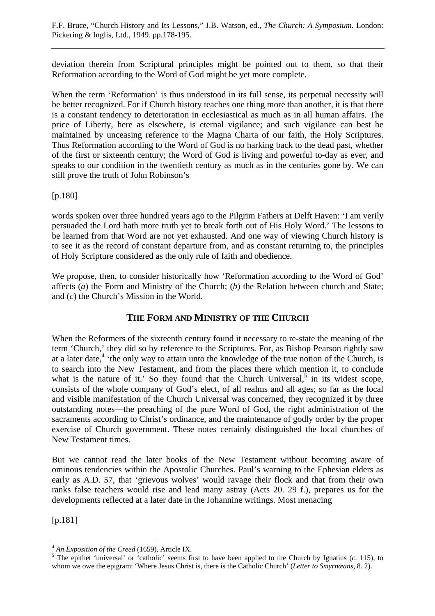deviation therein from Scriptural principles might be pointed out to them, so that their Reformation according to the Word of God might be yet more complete.

When the term 'Reformation' is thus understood in its full sense, its perpetual necessity will be better recognized. For if Church history teaches one thing more than another, it is that there is a constant tendency to deterioration in ecclesiastical as much as in all human affairs. The price of Liberty, here as elsewhere, is eternal vigilance; and such vigilance can best be maintained by unceasing reference to the Magna Charta of our faith, the Holy Scriptures. Thus Reformation according to the Word of God is no harking back to the dead past, whether of the first or sixteenth century; the Word of God is living and powerful to-day as ever, and speaks to our condition in the twentieth century as much as in the centuries gone by. We can still prove the truth of John Robinson's

[p.180]

words spoken over three hundred years ago to the Pilgrim Fathers at Delft Haven: 'I am verily persuaded the Lord hath more truth yet to break forth out of His Holy Word.' The lessons to be learned from that Word are not yet exhausted. And one way of viewing Church history is to see it as the record of constant departure from, and as constant returning to, the principles of Holy Scripture considered as the only rule of faith and obedience.

We propose, then, to consider historically how 'Reformation according to the Word of God' affects (*a*) the Form and Ministry of the Church; (*b*) the Relation between church and State; and (*c*) the Church's Mission in the World.

## **THE FORM AND MINISTRY OF THE CHURCH**

When the Reformers of the sixteenth century found it necessary to re-state the meaning of the term 'Church,' they did so by reference to the Scriptures. For, as Bishop Pearson rightly saw at a later date,<sup>4</sup> 'the only way to attain unto the knowledge of the true notion of the Church, is to search into the New Testament, and from the places there which mention it, to conclude what is the nature of it.' So they found that the Church Universal, $5$  in its widest scope, consists of the whole company of God's elect, of all realms and all ages; so far as the local and visible manifestation of the Church Universal was concerned, they recognized it by three outstanding notes—the preaching of the pure Word of God, the right administration of the sacraments according to Christ's ordinance, and the maintenance of godly order by the proper exercise of Church government. These notes certainly distinguished the local churches of New Testament times.

But we cannot read the later books of the New Testament without becoming aware of ominous tendencies within the Apostolic Churches. Paul's warning to the Ephesian elders as early as A.D. 57, that 'grievous wolves' would ravage their flock and that from their own ranks false teachers would rise and lead many astray (Acts 20. 29 f.), prepares us for the developments reflected at a later date in the Johannine writings. Most menacing

[p.181]

<sup>4</sup> *An Exposition of the Creed* (1659), Article IX. 5

<sup>&</sup>lt;sup>5</sup> The epithet 'universal' or 'catholic' seems first to have been applied to the Church by Ignatius (*c*. 115), to whom we owe the epigram: 'Where Jesus Christ is, there is the Catholic Church' (*Letter to Smyrnæans*, 8. 2).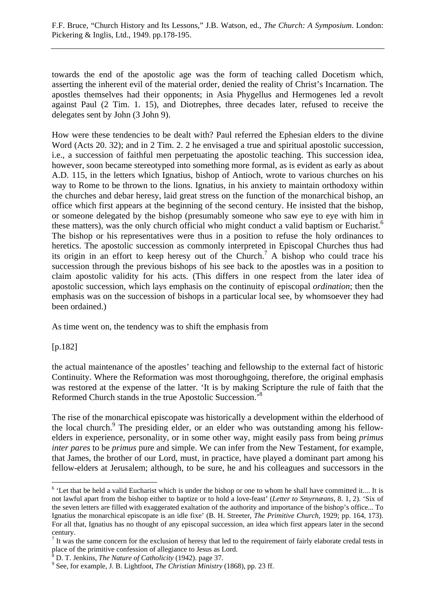towards the end of the apostolic age was the form of teaching called Docetism which, asserting the inherent evil of the material order, denied the reality of Christ's Incarnation. The apostles themselves had their opponents; in Asia Phygellus and Hermogenes led a revolt against Paul (2 Tim. 1. 15), and Diotrephes, three decades later, refused to receive the delegates sent by John (3 John 9).

How were these tendencies to be dealt with? Paul referred the Ephesian elders to the divine Word (Acts 20. 32); and in 2 Tim. 2. 2 he envisaged a true and spiritual apostolic succession, i.e., a succession of faithful men perpetuating the apostolic teaching. This succession idea, however, soon became stereotyped into something more formal, as is evident as early as about A.D. 115, in the letters which Ignatius, bishop of Antioch, wrote to various churches on his way to Rome to be thrown to the lions. Ignatius, in his anxiety to maintain orthodoxy within the churches and debar heresy, laid great stress on the function of the monarchical bishop, an office which first appears at the beginning of the second century. He insisted that the bishop, or someone delegated by the bishop (presumably someone who saw eye to eye with him in these matters), was the only church official who might conduct a valid baptism or Eucharist.<sup>6</sup> The bishop or his representatives were thus in a position to refuse the holy ordinances to heretics. The apostolic succession as commonly interpreted in Episcopal Churches thus had its origin in an effort to keep heresy out of the Church.<sup>7</sup> A bishop who could trace his succession through the previous bishops of his see back to the apostles was in a position to claim apostolic validity for his acts. (This differs in one respect from the later idea of apostolic succession, which lays emphasis on the continuity of episcopal *ordination*; then the emphasis was on the succession of bishops in a particular local see, by whomsoever they had been ordained.)

As time went on, the tendency was to shift the emphasis from

[p.182]

 $\overline{a}$ 

the actual maintenance of the apostles' teaching and fellowship to the external fact of historic Continuity. Where the Reformation was most thoroughgoing, therefore, the original emphasis was restored at the expense of the latter. 'It is by making Scripture the rule of faith that the Reformed Church stands in the true Apostolic Succession.'<sup>8</sup>

The rise of the monarchical episcopate was historically a development within the elderhood of the local church.<sup>9</sup> The presiding elder, or an elder who was outstanding among his fellowelders in experience, personality, or in some other way, might easily pass from being *primus inter pares* to be *primus* pure and simple. We can infer from the New Testament, for example, that James, the brother of our Lord, must, in practice, have played a dominant part among his fellow-elders at Jerusalem; although, to be sure, he and his colleagues and successors in the

 $<sup>6</sup>$  'Let that be held a valid Eucharist which is under the bishop or one to whom he shall have committed it.... It is</sup> not lawful apart from the bishop either to baptize or to hold a love-feast' (*Letter to Smyrnæans*, 8. 1, 2). 'Six of the seven letters are filled with exaggerated exaltation of the authority and importance of the bishop's office... To Ignatius the monarchical episcopate is an idle fixe' (B. H. Streeter, *The Primitive Church*, 1929; pp. 164, 173). For all that, Ignatius has no thought of any episcopal succession, an idea which first appears later in the second century.

 $<sup>7</sup>$  It was the same concern for the exclusion of heresy that led to the requirement of fairly elaborate credal tests in</sup> place of the primitive confession of allegiance to Jesus as Lord.

 $\overline{B}$  D. T. Jenkins, *The Nature of Catholicity* (1942). page 37.

<sup>&</sup>lt;sup>9</sup> See, for example, J. B. Lightfoot, *The Christian Ministry* (1868), pp. 23 ff.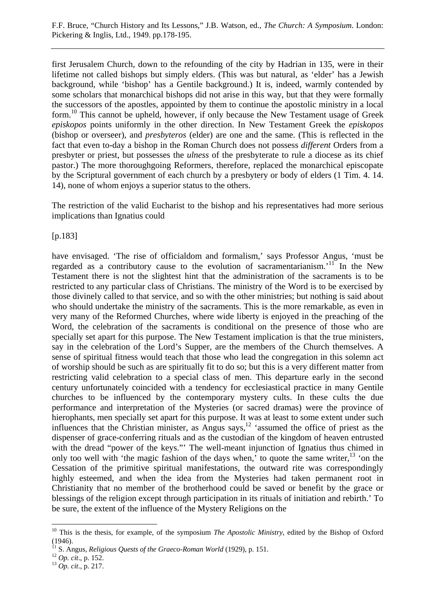first Jerusalem Church, down to the refounding of the city by Hadrian in 135, were in their lifetime not called bishops but simply elders. (This was but natural, as 'elder' has a Jewish background, while 'bishop' has a Gentile background.) It is, indeed, warmly contended by some scholars that monarchical bishops did not arise in this way, but that they were formally the successors of the apostles, appointed by them to continue the apostolic ministry in a local form.<sup>10</sup> This cannot be upheld, however, if only because the New Testament usage of Greek *episkopos* points uniformly in the other direction. In New Testament Greek the *episkopos* (bishop or overseer), and *presbyteros* (elder) are one and the same. (This is reflected in the fact that even to-day a bishop in the Roman Church does not possess *different* Orders from a presbyter or priest, but possesses the *ulness* of the presbyterate to rule a diocese as its chief pastor.) The more thoroughgoing Reformers, therefore, replaced the monarchical episcopate by the Scriptural government of each church by a presbytery or body of elders (1 Tim. 4. 14. 14), none of whom enjoys a superior status to the others.

The restriction of the valid Eucharist to the bishop and his representatives had more serious implications than Ignatius could

[p.183]

have envisaged. 'The rise of officialdom and formalism,' says Professor Angus, 'must be regarded as a contributory cause to the evolution of sacramentarianism.<sup>'11</sup> In the New Testament there is not the slightest hint that the administration of the sacraments is to be restricted to any particular class of Christians. The ministry of the Word is to be exercised by those divinely called to that service, and so with the other ministries; but nothing is said about who should undertake the ministry of the sacraments. This is the more remarkable, as even in very many of the Reformed Churches, where wide liberty is enjoyed in the preaching of the Word, the celebration of the sacraments is conditional on the presence of those who are specially set apart for this purpose. The New Testament implication is that the true ministers, say in the celebration of the Lord's Supper, are the members of the Church themselves. A sense of spiritual fitness would teach that those who lead the congregation in this solemn act of worship should be such as are spiritually fit to do so; but this is a very different matter from restricting valid celebration to a special class of men. This departure early in the second century unfortunately coincided with a tendency for ecclesiastical practice in many Gentile churches to be influenced by the contemporary mystery cults. In these cults the due performance and interpretation of the Mysteries (or sacred dramas) were the province of hierophants, men specially set apart for this purpose. It was at least to some extent under such influences that the Christian minister, as Angus says, $12$  'assumed the office of priest as the dispenser of grace-conferring rituals and as the custodian of the kingdom of heaven entrusted with the dread "power of the keys."' The well-meant injunction of Ignatius thus chimed in only too well with 'the magic fashion of the days when,' to quote the same writer, $13$  'on the Cessation of the primitive spiritual manifestations, the outward rite was correspondingly highly esteemed, and when the idea from the Mysteries had taken permanent root in Christianity that no member of the brotherhood could be saved or benefit by the grace or blessings of the religion except through participation in its rituals of initiation and rebirth.' To be sure, the extent of the influence of the Mystery Religions on the

<sup>&</sup>lt;sup>10</sup> This is the thesis, for example, of the symposium *The Apostolic Ministry*, edited by the Bishop of Oxford (1946).

<sup>11</sup> S. Angus, *Religious Quests of the Graeco-Roman World* (1929), p. 151. 12 *Op. cit*., p. 152. 13 *Op. cit*., p. 217.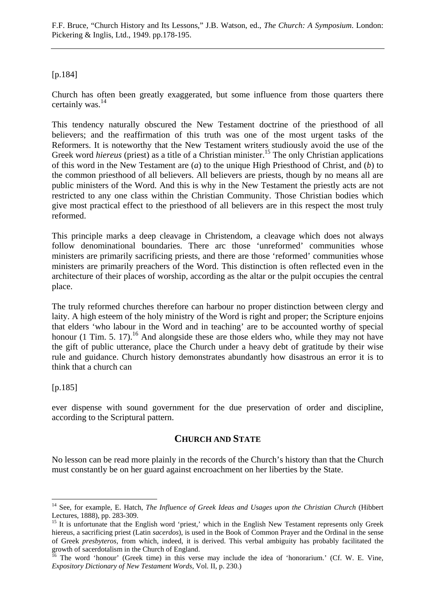#### [p.184]

Church has often been greatly exaggerated, but some influence from those quarters there certainly was.<sup>14</sup>

This tendency naturally obscured the New Testament doctrine of the priesthood of all believers; and the reaffirmation of this truth was one of the most urgent tasks of the Reformers. It is noteworthy that the New Testament writers studiously avoid the use of the Greek word *hiereus* (priest) as a title of a Christian minister.<sup>15</sup> The only Christian applications of this word in the New Testament are (*a*) to the unique High Priesthood of Christ, and (*b*) to the common priesthood of all believers. All believers are priests, though by no means all are public ministers of the Word. And this is why in the New Testament the priestly acts are not restricted to any one class within the Christian Community. Those Christian bodies which give most practical effect to the priesthood of all believers are in this respect the most truly reformed.

This principle marks a deep cleavage in Christendom, a cleavage which does not always follow denominational boundaries. There arc those 'unreformed' communities whose ministers are primarily sacrificing priests, and there are those 'reformed' communities whose ministers are primarily preachers of the Word. This distinction is often reflected even in the architecture of their places of worship, according as the altar or the pulpit occupies the central place.

The truly reformed churches therefore can harbour no proper distinction between clergy and laity. A high esteem of the holy ministry of the Word is right and proper; the Scripture enjoins that elders 'who labour in the Word and in teaching' are to be accounted worthy of special honour (1 Tim. 5. 17).<sup>16</sup> And alongside these are those elders who, while they may not have the gift of public utterance, place the Church under a heavy debt of gratitude by their wise rule and guidance. Church history demonstrates abundantly how disastrous an error it is to think that a church can

[p.185]

ever dispense with sound government for the due preservation of order and discipline, according to the Scriptural pattern.

## **CHURCH AND STATE**

No lesson can be read more plainly in the records of the Church's history than that the Church must constantly be on her guard against encroachment on her liberties by the State.

 $\overline{a}$ <sup>14</sup> See, for example, E. Hatch, *The Influence of Greek Ideas and Usages upon the Christian Church* (Hibbert Lectures, 1888), pp. 283-309.

<sup>&</sup>lt;sup>15</sup> It is unfortunate that the English word 'priest,' which in the English New Testament represents only Greek hiereus, a sacrificing priest (Latin *sacerdos*), is used in the Book of Common Prayer and the Ordinal in the sense of Greek *presbyteros*, from which, indeed, it is derived. This verbal ambiguity has probably facilitated the growth of sacerdotalism in the Church of England.

<sup>&</sup>lt;sup>16</sup> The word 'honour' (Greek time) in this verse may include the idea of 'honorarium.' (Cf. W. E. Vine, *Expository Dictionary of New Testament Words*, Vol. II, p. 230.)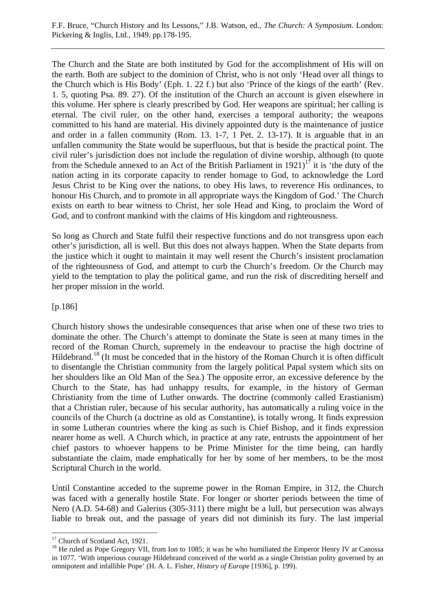The Church and the State are both instituted by God for the accomplishment of His will on the earth. Both are subject to the dominion of Christ, who is not only 'Head over all things to the Church which is His Body' (Eph. 1. 22 f.) but also 'Prince of the kings of the earth' (Rev. 1. 5, quoting Psa. 89. 27). Of the institution of the Church an account is given elsewhere in this volume. Her sphere is clearly prescribed by God. Her weapons are spiritual; her calling is eternal. The civil ruler, on the other hand, exercises a temporal authority; the weapons committed to his hand are material. His divinely appointed duty is the maintenance of justice and order in a fallen community (Rom. 13. 1-7, 1 Pet. 2. 13-17). It is arguable that in an unfallen community the State would be superfluous, but that is beside the practical point. The civil ruler's jurisdiction does not include the regulation of divine worship, although (to quote from the Schedule annexed to an Act of the British Parliament in  $1921$ <sup>17</sup> it is 'the duty of the nation acting in its corporate capacity to render homage to God, to acknowledge the Lord Jesus Christ to be King over the nations, to obey His laws, to reverence His ordinances, to honour His Church, and to promote in all appropriate ways the Kingdom of God.' The Church exists on earth to bear witness to Christ, her sole Head and King, to proclaim the Word of God, and to confront mankind with the claims of His kingdom and righteousness.

So long as Church and State fulfil their respective functions and do not transgress upon each other's jurisdiction, all is well. But this does not always happen. When the State departs from the justice which it ought to maintain it may well resent the Church's insistent proclamation of the righteousness of God, and attempt to curb the Church's freedom. Or the Church may yield to the temptation to play the political game, and run the risk of discrediting herself and her proper mission in the world.

#### [p.186]

Church history shows the undesirable consequences that arise when one of these two tries to dominate the other. The Church's attempt to dominate the State is seen at many times in the record of the Roman Church, supremely in the endeavour to practise the high doctrine of Hildebrand.<sup>18</sup> (It must be conceded that in the history of the Roman Church it is often difficult to disentangle the Christian community from the largely political Papal system which sits on her shoulders like an Old Man of the Sea.) The opposite error, an excessive deference by the Church to the State, has had unhappy results, for example, in the history of German Christianity from the time of Luther onwards. The doctrine (commonly called Erastianism) that a Christian ruler, because of his secular authority, has automatically a ruling voice in the councils of the Church (a doctrine as old as Constantine), is totally wrong. It finds expression in some Lutheran countries where the king as such is Chief Bishop, and it finds expression nearer home as well. A Church which, in practice at any rate, entrusts the appointment of her chief pastors to whoever happens to be Prime Minister for the time being, can hardly substantiate the claim, made emphatically for her by some of her members, to be the most Scriptural Church in the world.

Until Constantine acceded to the supreme power in the Roman Empire, in 312, the Church was faced with a generally hostile State. For longer or shorter periods between the time of Nero (A.D. 54-68) and Galerius (305-311) there might be a lull, but persecution was always liable to break out, and the passage of years did not diminish its fury. The last imperial

<sup>&</sup>lt;sup>17</sup> Church of Scotland Act, 1921.

<sup>&</sup>lt;sup>18</sup> He ruled as Pope Gregory VII, from Ion to 1085; it was he who humiliated the Emperor Henry IV at Canossa in 1077. 'With imperious courage Hildebrand conceived of the world as a single Christian polity governed by an omnipotent and infallible Pope' (H. A. L. Fisher, *History of Europe* [1936], p. 199).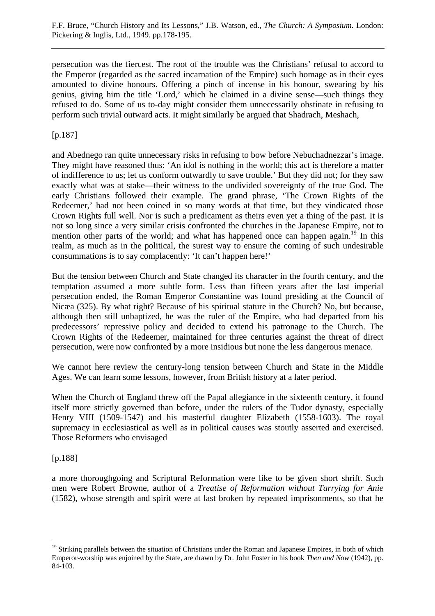persecution was the fiercest. The root of the trouble was the Christians' refusal to accord to the Emperor (regarded as the sacred incarnation of the Empire) such homage as in their eyes amounted to divine honours. Offering a pinch of incense in his honour, swearing by his genius, giving him the title 'Lord,' which he claimed in a divine sense—such things they refused to do. Some of us to-day might consider them unnecessarily obstinate in refusing to perform such trivial outward acts. It might similarly be argued that Shadrach, Meshach,

## [p.187]

and Abednego ran quite unnecessary risks in refusing to bow before Nebuchadnezzar's image. They might have reasoned thus: 'An idol is nothing in the world; this act is therefore a matter of indifference to us; let us conform outwardly to save trouble.' But they did not; for they saw exactly what was at stake—their witness to the undivided sovereignty of the true God. The early Christians followed their example. The grand phrase, 'The Crown Rights of the Redeemer,' had not been coined in so many words at that time, but they vindicated those Crown Rights full well. Nor is such a predicament as theirs even yet a thing of the past. It is not so long since a very similar crisis confronted the churches in the Japanese Empire, not to mention other parts of the world; and what has happened once can happen again.<sup>19</sup> In this realm, as much as in the political, the surest way to ensure the coming of such undesirable consummations is to say complacently: 'It can't happen here!'

But the tension between Church and State changed its character in the fourth century, and the temptation assumed a more subtle form. Less than fifteen years after the last imperial persecution ended, the Roman Emperor Constantine was found presiding at the Council of Nicæa (325). By what right? Because of his spiritual stature in the Church? No, but because, although then still unbaptized, he was the ruler of the Empire, who had departed from his predecessors' repressive policy and decided to extend his patronage to the Church. The Crown Rights of the Redeemer, maintained for three centuries against the threat of direct persecution, were now confronted by a more insidious but none the less dangerous menace.

We cannot here review the century-long tension between Church and State in the Middle Ages. We can learn some lessons, however, from British history at a later period.

When the Church of England threw off the Papal allegiance in the sixteenth century, it found itself more strictly governed than before, under the rulers of the Tudor dynasty, especially Henry VIII (1509-1547) and his masterful daughter Elizabeth (1558-1603). The royal supremacy in ecclesiastical as well as in political causes was stoutly asserted and exercised. Those Reformers who envisaged

[p.188]

 $\overline{a}$ 

a more thoroughgoing and Scriptural Reformation were like to be given short shrift. Such men were Robert Browne, author of a *Treatise of Reformation without Tarrying for Anie* (1582), whose strength and spirit were at last broken by repeated imprisonments, so that he

<sup>&</sup>lt;sup>19</sup> Striking parallels between the situation of Christians under the Roman and Japanese Empires, in both of which Emperor-worship was enjoined by the State, are drawn by Dr. John Foster in his book *Then and Now* (1942), pp. 84-103.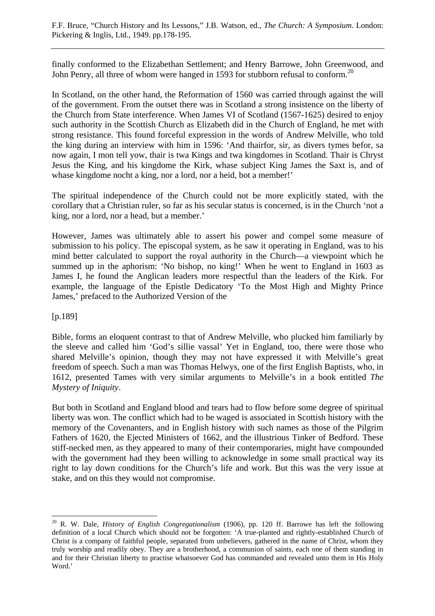finally conformed to the Elizabethan Settlement; and Henry Barrowe, John Greenwood, and John Penry, all three of whom were hanged in 1593 for stubborn refusal to conform.<sup>20</sup>

In Scotland, on the other hand, the Reformation of 1560 was carried through against the will of the government. From the outset there was in Scotland a strong insistence on the liberty of the Church from State interference. When James VI of Scotland (1567-1625) desired to enjoy such authority in the Scottish Church as Elizabeth did in the Church of England, he met with strong resistance. This found forceful expression in the words of Andrew Melville, who told the king during an interview with him in 1596: 'And thairfor, sir, as divers tymes befor, sa now again, I mon tell yow, thair is twa Kings and twa kingdomes in Scotland. Thair is Chryst Jesus the King, and his kingdome the Kirk, whase subject King James the Saxt is, and of whase kingdome nocht a king, nor a lord, nor a heid, bot a member!'

The spiritual independence of the Church could not be more explicitly stated, with the corollary that a Christian ruler, so far as his secular status is concerned, is in the Church 'not a king, nor a lord, nor a head, but a member.'

However, James was ultimately able to assert his power and compel some measure of submission to his policy. The episcopal system, as he saw it operating in England, was to his mind better calculated to support the royal authority in the Church—a viewpoint which he summed up in the aphorism: 'No bishop, no king!' When he went to England in 1603 as James I, he found the Anglican leaders more respectful than the leaders of the Kirk. For example, the language of the Epistle Dedicatory 'To the Most High and Mighty Prince James,' prefaced to the Authorized Version of the

[p.189]

 $\overline{a}$ 

Bible, forms an eloquent contrast to that of Andrew Melville, who plucked him familiarly by the sleeve and called him 'God's sillie vassal' Yet in England, too, there were those who shared Melville's opinion, though they may not have expressed it with Melville's great freedom of speech. Such a man was Thomas Helwys, one of the first English Baptists, who, in 1612, presented Tames with very similar arguments to Melville's in a book entitled *The Mystery of Iniquity*.

But both in Scotland and England blood and tears had to flow before some degree of spiritual liberty was won. The conflict which had to be waged is associated in Scottish history with the memory of the Covenanters, and in English history with such names as those of the Pilgrim Fathers of 1620, the Ejected Ministers of 1662, and the illustrious Tinker of Bedford. These stiff-necked men, as they appeared to many of their contemporaries, might have compounded with the government had they been willing to acknowledge in some small practical way its right to lay down conditions for the Church's life and work. But this was the very issue at stake, and on this they would not compromise.

<sup>20</sup> R. W. Dale, *History of English Congregationalism* (1906), pp. 120 ff. Barrowe has left the following definition of a local Church which should not be forgotten: 'A true-planted and rightly-established Church of Christ is a company of faithful people, separated from unbelievers, gathered in the name of Christ, whom they truly worship and readily obey. They are a brotherhood, a communion of saints, each one of them standing in and for their Christian liberty to practise whatsoever God has commanded and revealed unto them in His Holy Word.'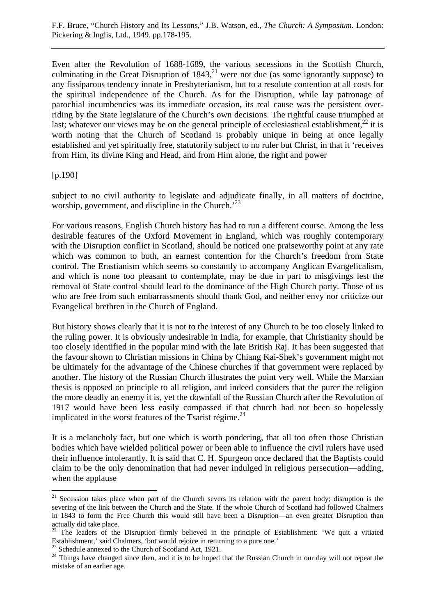Even after the Revolution of 1688-1689, the various secessions in the Scottish Church, culminating in the Great Disruption of  $1843$ ,<sup>21</sup> were not due (as some ignorantly suppose) to any fissiparous tendency innate in Presbyterianism, but to a resolute contention at all costs for the spiritual independence of the Church. As for the Disruption, while lay patronage of parochial incumbencies was its immediate occasion, its real cause was the persistent overriding by the State legislature of the Church's own decisions. The rightful cause triumphed at last; whatever our views may be on the general principle of ecclesiastical establishment.<sup>22</sup> it is worth noting that the Church of Scotland is probably unique in being at once legally established and yet spiritually free, statutorily subject to no ruler but Christ, in that it 'receives from Him, its divine King and Head, and from Him alone, the right and power

[p.190]

 $\overline{a}$ 

subject to no civil authority to legislate and adjudicate finally, in all matters of doctrine, worship, government, and discipline in the Church.<sup> $23$ </sup>

For various reasons, English Church history has had to run a different course. Among the less desirable features of the Oxford Movement in England, which was roughly contemporary with the Disruption conflict in Scotland, should be noticed one praiseworthy point at any rate which was common to both, an earnest contention for the Church's freedom from State control. The Erastianism which seems so constantly to accompany Anglican Evangelicalism, and which is none too pleasant to contemplate, may be due in part to misgivings lest the removal of State control should lead to the dominance of the High Church party. Those of us who are free from such embarrassments should thank God, and neither envy nor criticize our Evangelical brethren in the Church of England.

But history shows clearly that it is not to the interest of any Church to be too closely linked to the ruling power. It is obviously undesirable in India, for example, that Christianity should be too closely identified in the popular mind with the late British Raj. It has been suggested that the favour shown to Christian missions in China by Chiang Kai-Shek's government might not be ultimately for the advantage of the Chinese churches if that government were replaced by another. The history of the Russian Church illustrates the point very well. While the Marxian thesis is opposed on principle to all religion, and indeed considers that the purer the religion the more deadly an enemy it is, yet the downfall of the Russian Church after the Revolution of 1917 would have been less easily compassed if that church had not been so hopelessly implicated in the worst features of the Tsarist régime. $^{24}$ 

It is a melancholy fact, but one which is worth pondering, that all too often those Christian bodies which have wielded political power or been able to influence the civil rulers have used their influence intolerantly. It is said that C. H. Spurgeon once declared that the Baptists could claim to be the only denomination that had never indulged in religious persecution—adding, when the applause

<sup>&</sup>lt;sup>21</sup> Secession takes place when part of the Church severs its relation with the parent body; disruption is the severing of the link between the Church and the State. If the whole Church of Scotland had followed Chalmers in 1843 to form the Free Church this would still have been a Disruption—an even greater Disruption than actually did take place.

<sup>&</sup>lt;sup>22</sup> The leaders of the Disruption firmly believed in the principle of Establishment: 'We quit a vitiated Establishment,' said Chalmers, 'but would rejoice in returning to a pure one.'

 $23$  Schedule annexed to the Church of Scotland Act, 1921.

<sup>&</sup>lt;sup>24</sup> Things have changed since then, and it is to be hoped that the Russian Church in our day will not repeat the mistake of an earlier age.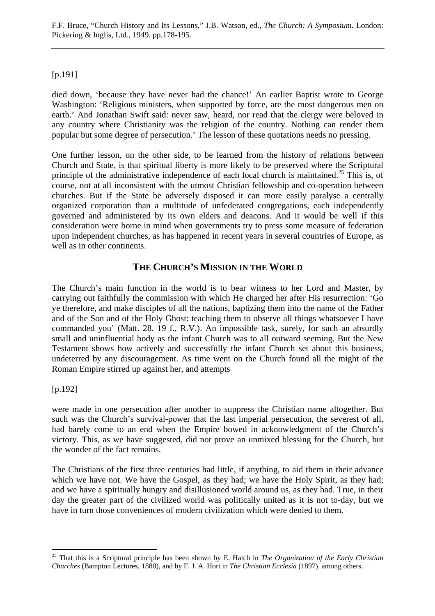#### [p.191]

died down, 'because they have never had the chance!' An earlier Baptist wrote to George Washington: 'Religious ministers, when supported by force, are the most dangerous men on earth.' And Jonathan Swift said: never saw, heard, nor read that the clergy were beloved in any country where Christianity was the religion of the country. Nothing can render them popular but some degree of persecution.' The lesson of these quotations needs no pressing.

One further lesson, on the other side, to be learned from the history of relations between Church and State, is that spiritual liberty is more likely to be preserved where the Scriptural principle of the administrative independence of each local church is maintained.<sup>25</sup> This is, of course, not at all inconsistent with the utmost Christian fellowship and co-operation between churches. But if the State be adversely disposed it can more easily paralyse a centrally organized corporation than a multitude of unfederated congregations, each independently governed and administered by its own elders and deacons. And it would be well if this consideration were borne in mind when governments try to press some measure of federation upon independent churches, as has happened in recent years in several countries of Europe, as well as in other continents.

### **THE CHURCH'S MISSION IN THE WORLD**

The Church's main function in the world is to bear witness to her Lord and Master, by carrying out faithfully the commission with which He charged her after His resurrection: 'Go ye therefore, and make disciples of all the nations, baptizing them into the name of the Father and of the Son and of the Holy Ghost: teaching them to observe all things whatsoever I have commanded you' (Matt. 28. 19 f., R.V.). An impossible task, surely, for such an absurdly small and uninfluential body as the infant Church was to all outward seeming. But the New Testament shows how actively and successfully the infant Church set about this business, undeterred by any discouragement. As time went on the Church found all the might of the Roman Empire stirred up against her, and attempts

[p.192]

 $\overline{a}$ 

were made in one persecution after another to suppress the Christian name altogether. But such was the Church's survival-power that the last imperial persecution, the severest of all, had barely come to an end when the Empire bowed in acknowledgment of the Church's victory. This, as we have suggested, did not prove an unmixed blessing for the Church, but the wonder of the fact remains.

The Christians of the first three centuries had little, if anything, to aid them in their advance which we have not. We have the Gospel, as they had; we have the Holy Spirit, as they had; and we have a spiritually hungry and disillusioned world around us, as they had. True, in their day the greater part of the civilized world was politically united as it is not to-day, but we have in turn those conveniences of modern civilization which were denied to them.

<sup>25</sup> That this is a Scriptural principle has been shown by E. Hatch in *The Organization of the Early Christian Churches* (Bampton Lectures, 1880), and by F. J. A. Hort in *The Christian Ecclesia* (1897), among others.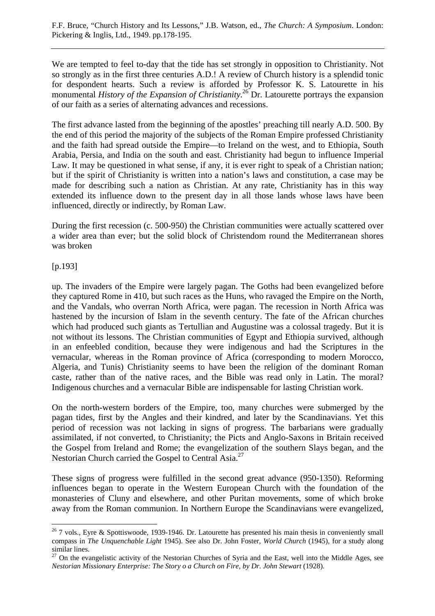We are tempted to feel to-day that the tide has set strongly in opposition to Christianity. Not so strongly as in the first three centuries A.D.! A review of Church history is a splendid tonic for despondent hearts. Such a review is afforded by Professor K. S. Latourette in his monumental *History of the Expansion of Christianity*. 26 Dr. Latourette portrays the expansion of our faith as a series of alternating advances and recessions.

The first advance lasted from the beginning of the apostles' preaching till nearly A.D. 500. By the end of this period the majority of the subjects of the Roman Empire professed Christianity and the faith had spread outside the Empire—to Ireland on the west, and to Ethiopia, South Arabia, Persia, and India on the south and east. Christianity had begun to influence Imperial Law. It may be questioned in what sense, if any, it is ever right to speak of a Christian nation; but if the spirit of Christianity is written into a nation's laws and constitution, a case may be made for describing such a nation as Christian. At any rate, Christianity has in this way extended its influence down to the present day in all those lands whose laws have been influenced, directly or indirectly, by Roman Law.

During the first recession (c. 500-950) the Christian communities were actually scattered over a wider area than ever; but the solid block of Christendom round the Mediterranean shores was broken

[p.193]

 $\overline{a}$ 

up. The invaders of the Empire were largely pagan. The Goths had been evangelized before they captured Rome in 410, but such races as the Huns, who ravaged the Empire on the North, and the Vandals, who overran North Africa, were pagan. The recession in North Africa was hastened by the incursion of Islam in the seventh century. The fate of the African churches which had produced such giants as Tertullian and Augustine was a colossal tragedy. But it is not without its lessons. The Christian communities of Egypt and Ethiopia survived, although in an enfeebled condition, because they were indigenous and had the Scriptures in the vernacular, whereas in the Roman province of Africa (corresponding to modern Morocco, Algeria, and Tunis) Christianity seems to have been the religion of the dominant Roman caste, rather than of the native races, and the Bible was read only in Latin. The moral? Indigenous churches and a vernacular Bible are indispensable for lasting Christian work.

On the north-western borders of the Empire, too, many churches were submerged by the pagan tides, first by the Angles and their kindred, and later by the Scandinavians. Yet this period of recession was not lacking in signs of progress. The barbarians were gradually assimilated, if not converted, to Christianity; the Picts and Anglo-Saxons in Britain received the Gospel from Ireland and Rome; the evangelization of the southern Slays began, and the Nestorian Church carried the Gospel to Central Asia.<sup>27</sup>

These signs of progress were fulfilled in the second great advance (950-1350). Reforming influences began to operate in the Western European Church with the foundation of the monasteries of Cluny and elsewhere, and other Puritan movements, some of which broke away from the Roman communion. In Northern Europe the Scandinavians were evangelized,

 $26$  7 vols., Eyre & Spottiswoode, 1939-1946. Dr. Latourette has presented his main thesis in conveniently small compass in *The Unquenchable Light* 1945). See also Dr. John Foster, *World Church* (1945), for a study along similar lines.

 $27$  On the evangelistic activity of the Nestorian Churches of Syria and the East, well into the Middle Ages, see *Nestorian Missionary Enterprise: The Story o a Church on Fire, by Dr. John Stewart* (1928).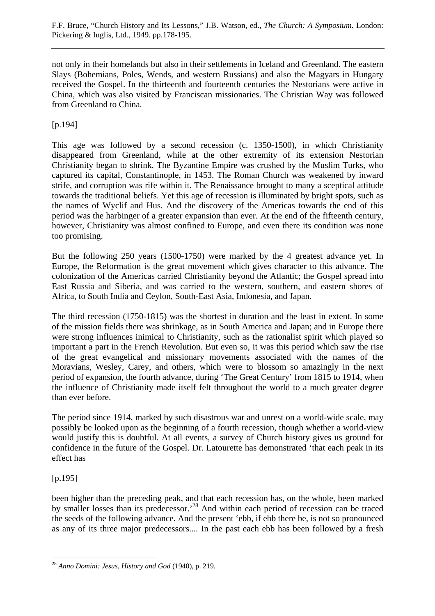not only in their homelands but also in their settlements in Iceland and Greenland. The eastern Slays (Bohemians, Poles, Wends, and western Russians) and also the Magyars in Hungary received the Gospel. In the thirteenth and fourteenth centuries the Nestorians were active in China, which was also visited by Franciscan missionaries. The Christian Way was followed from Greenland to China.

[p.194]

This age was followed by a second recession (c. 1350-1500), in which Christianity disappeared from Greenland, while at the other extremity of its extension Nestorian Christianity began to shrink. The Byzantine Empire was crushed by the Muslim Turks, who captured its capital, Constantinople, in 1453. The Roman Church was weakened by inward strife, and corruption was rife within it. The Renaissance brought to many a sceptical attitude towards the traditional beliefs. Yet this age of recession is illuminated by bright spots, such as the names of Wyclif and Hus. And the discovery of the Americas towards the end of this period was the harbinger of a greater expansion than ever. At the end of the fifteenth century, however, Christianity was almost confined to Europe, and even there its condition was none too promising.

But the following 250 years (1500-1750) were marked by the 4 greatest advance yet. In Europe, the Reformation is the great movement which gives character to this advance. The colonization of the Americas carried Christianity beyond the Atlantic; the Gospel spread into East Russia and Siberia, and was carried to the western, southern, and eastern shores of Africa, to South India and Ceylon, South-East Asia, Indonesia, and Japan.

The third recession (1750-1815) was the shortest in duration and the least in extent. In some of the mission fields there was shrinkage, as in South America and Japan; and in Europe there were strong influences inimical to Christianity, such as the rationalist spirit which played so important a part in the French Revolution. But even so, it was this period which saw the rise of the great evangelical and missionary movements associated with the names of the Moravians, Wesley, Carey, and others, which were to blossom so amazingly in the next period of expansion, the fourth advance, during 'The Great Century' from 1815 to 1914, when the influence of Christianity made itself felt throughout the world to a much greater degree than ever before.

The period since 1914, marked by such disastrous war and unrest on a world-wide scale, may possibly be looked upon as the beginning of a fourth recession, though whether a world-view would justify this is doubtful. At all events, a survey of Church history gives us ground for confidence in the future of the Gospel. Dr. Latourette has demonstrated 'that each peak in its effect has

[p.195]

been higher than the preceding peak, and that each recession has, on the whole, been marked by smaller losses than its predecessor.'28 And within each period of recession can be traced the seeds of the following advance. And the present 'ebb, if ebb there be, is not so pronounced as any of its three major predecessors.... In the past each ebb has been followed by a fresh

 $\overline{a}$ <sup>28</sup> *Anno Domini: Jesus, History and God* (1940), p. 219.